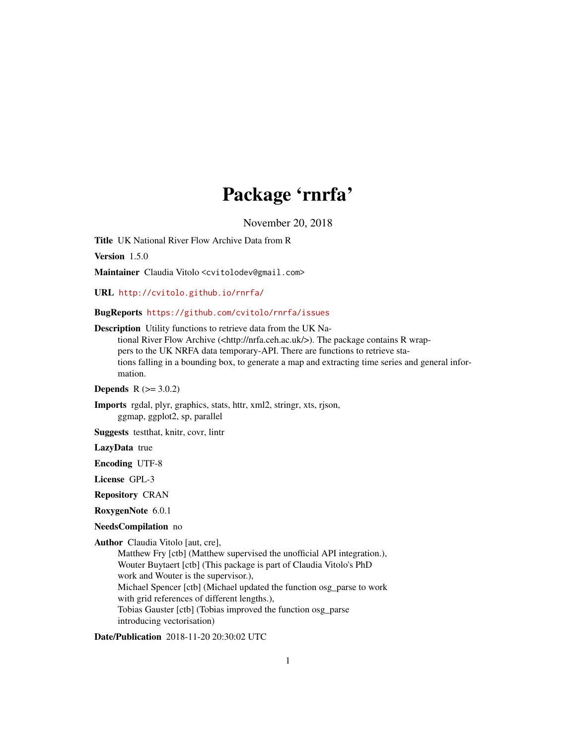## Package 'rnrfa'

November 20, 2018

Title UK National River Flow Archive Data from R

Version 1.5.0

Maintainer Claudia Vitolo <cvitolodev@gmail.com>

URL <http://cvitolo.github.io/rnrfa/>

BugReports <https://github.com/cvitolo/rnrfa/issues>

Description Utility functions to retrieve data from the UK National River Flow Archive (<http://nrfa.ceh.ac.uk/>). The package contains R wrappers to the UK NRFA data temporary-API. There are functions to retrieve stations falling in a bounding box, to generate a map and extracting time series and general information.

**Depends**  $R (= 3.0.2)$ 

Imports rgdal, plyr, graphics, stats, httr, xml2, stringr, xts, rjson, ggmap, ggplot2, sp, parallel

Suggests testthat, knitr, covr, lintr

LazyData true

Encoding UTF-8

License GPL-3

Repository CRAN

RoxygenNote 6.0.1

NeedsCompilation no

Author Claudia Vitolo [aut, cre],

Matthew Fry [ctb] (Matthew supervised the unofficial API integration.), Wouter Buytaert [ctb] (This package is part of Claudia Vitolo's PhD work and Wouter is the supervisor.), Michael Spencer [ctb] (Michael updated the function osg\_parse to work with grid references of different lengths.), Tobias Gauster [ctb] (Tobias improved the function osg\_parse introducing vectorisation)

Date/Publication 2018-11-20 20:30:02 UTC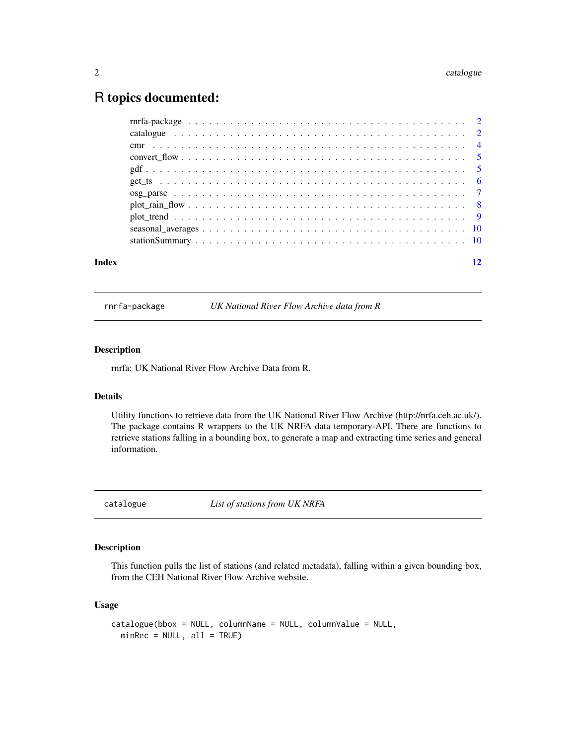### <span id="page-1-0"></span>R topics documented:

| $plot\_rain\_flow \dots \dots \dots \dots \dots \dots \dots \dots \dots \dots \dots \dots \dots \dots \dots \dots$ |  |
|--------------------------------------------------------------------------------------------------------------------|--|
|                                                                                                                    |  |
|                                                                                                                    |  |
|                                                                                                                    |  |
|                                                                                                                    |  |
|                                                                                                                    |  |
|                                                                                                                    |  |
|                                                                                                                    |  |

rnrfa-package *UK National River Flow Archive data from R*

#### Description

rnrfa: UK National River Flow Archive Data from R.

#### Details

Utility functions to retrieve data from the UK National River Flow Archive (http://nrfa.ceh.ac.uk/). The package contains R wrappers to the UK NRFA data temporary-API. There are functions to retrieve stations falling in a bounding box, to generate a map and extracting time series and general information.

catalogue *List of stations from UK NRFA*

#### Description

This function pulls the list of stations (and related metadata), falling within a given bounding box, from the CEH National River Flow Archive website.

#### Usage

```
catalogue(bbox = NULL, columnName = NULL, columnValue = NULL,
  minRec = NULL, all = TRUE)
```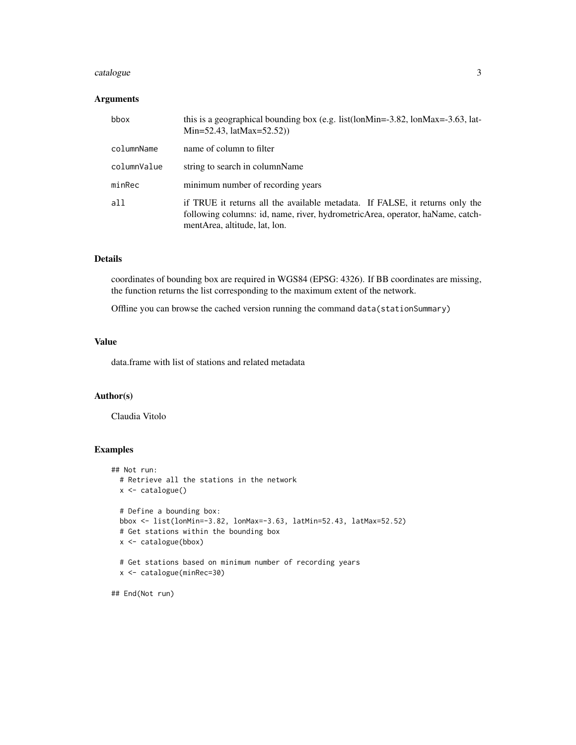#### catalogue 3 and 3 and 3 and 3 and 3 and 3 and 3 and 3 and 3 and 3 and 3 and 3 and 3 and 3 and 3 and 3 and 3 and 3 and 3 and 3 and 3 and 3 and 3 and 3 and 3 and 3 and 3 and 3 and 3 and 3 and 3 and 3 and 3 and 3 and 3 and 3

#### Arguments

| bbox        | this is a geographical bounding box (e.g. list(lonMin= $-3.82$ , lonMax= $-3.63$ , lat-<br>Min=52.43, latMax=52.52))                                                                           |
|-------------|------------------------------------------------------------------------------------------------------------------------------------------------------------------------------------------------|
| columnName  | name of column to filter                                                                                                                                                                       |
| columnValue | string to search in columnName                                                                                                                                                                 |
| minRec      | minimum number of recording years                                                                                                                                                              |
| a11         | if TRUE it returns all the available metadata. If FALSE, it returns only the<br>following columns: id, name, river, hydrometricArea, operator, haName, catch-<br>mentArea, altitude, lat, lon. |

#### Details

coordinates of bounding box are required in WGS84 (EPSG: 4326). If BB coordinates are missing, the function returns the list corresponding to the maximum extent of the network.

Offline you can browse the cached version running the command data(stationSummary)

#### Value

data.frame with list of stations and related metadata

#### Author(s)

Claudia Vitolo

#### Examples

```
## Not run:
 # Retrieve all the stations in the network
 x <- catalogue()
 # Define a bounding box:
 bbox <- list(lonMin=-3.82, lonMax=-3.63, latMin=52.43, latMax=52.52)
 # Get stations within the bounding box
 x <- catalogue(bbox)
 # Get stations based on minimum number of recording years
 x <- catalogue(minRec=30)
```
## End(Not run)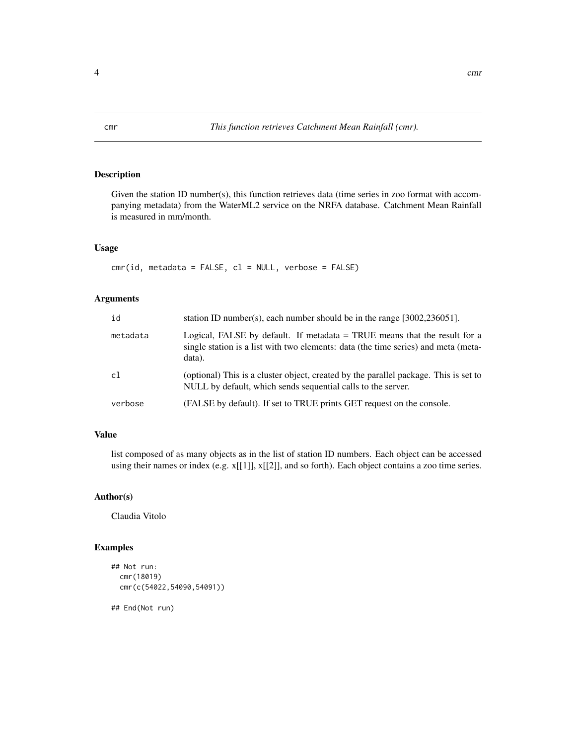#### Description

Given the station ID number(s), this function retrieves data (time series in zoo format with accompanying metadata) from the WaterML2 service on the NRFA database. Catchment Mean Rainfall is measured in mm/month.

#### Usage

 $cmr(id, metadata = FALSE, cl = NULL, verbose = FALSE)$ 

#### Arguments

| id       | station ID number(s), each number should be in the range $[3002, 236051]$ .                                                                                                 |
|----------|-----------------------------------------------------------------------------------------------------------------------------------------------------------------------------|
| metadata | Logical, FALSE by default. If metadata $=$ TRUE means that the result for a<br>single station is a list with two elements: data (the time series) and meta (meta-<br>data). |
| c1       | (optional) This is a cluster object, created by the parallel package. This is set to<br>NULL by default, which sends sequential calls to the server.                        |
| verbose  | (FALSE by default). If set to TRUE prints GET request on the console.                                                                                                       |

#### Value

list composed of as many objects as in the list of station ID numbers. Each object can be accessed using their names or index (e.g. x[[1]], x[[2]], and so forth). Each object contains a zoo time series.

#### Author(s)

Claudia Vitolo

#### Examples

```
## Not run:
 cmr(18019)
 cmr(c(54022,54090,54091))
```
## End(Not run)

<span id="page-3-0"></span>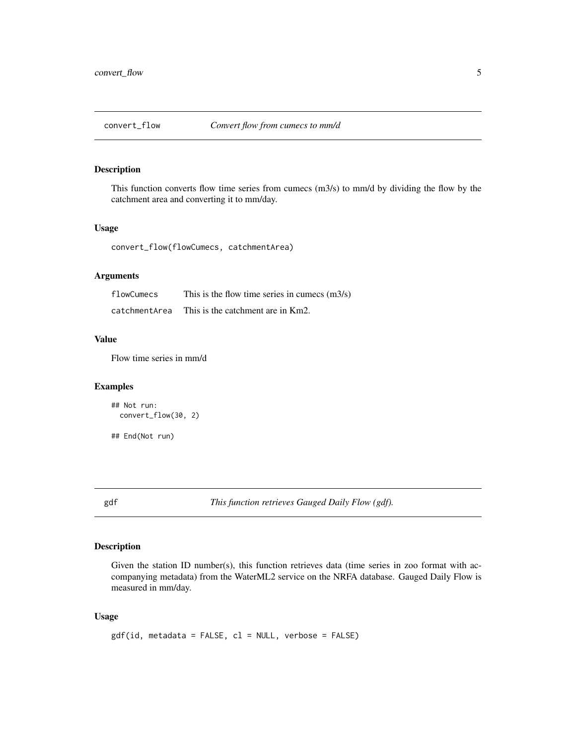<span id="page-4-0"></span>

#### Description

This function converts flow time series from cumecs (m3/s) to mm/d by dividing the flow by the catchment area and converting it to mm/day.

#### Usage

convert\_flow(flowCumecs, catchmentArea)

#### Arguments

| flowCumecs    | This is the flow time series in cumecs $(m3/s)$ |
|---------------|-------------------------------------------------|
| catchmentArea | This is the catchment are in Km2.               |

#### Value

Flow time series in mm/d

#### Examples

```
## Not run:
 convert_flow(30, 2)
```
## End(Not run)

gdf *This function retrieves Gauged Daily Flow (gdf).*

#### Description

Given the station ID number(s), this function retrieves data (time series in zoo format with accompanying metadata) from the WaterML2 service on the NRFA database. Gauged Daily Flow is measured in mm/day.

#### Usage

```
gdf(id, metadata = FALSE, cl = NULL, verbose = FALSE)
```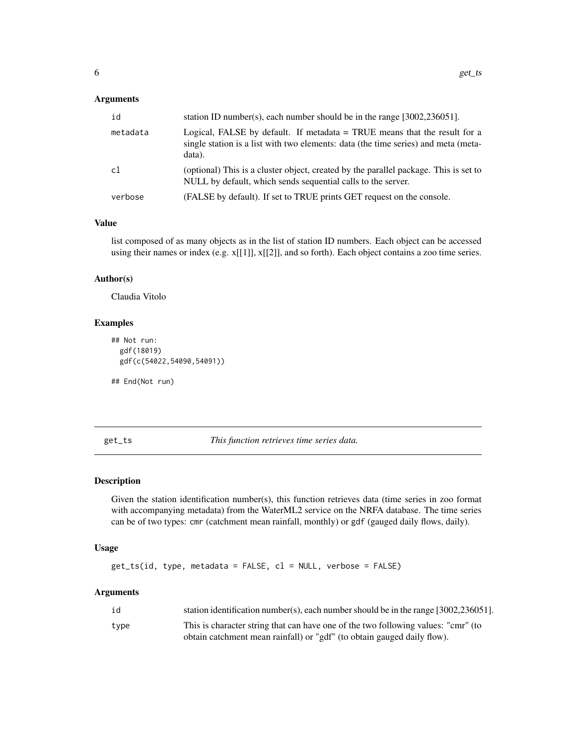#### <span id="page-5-0"></span>Arguments

| id       | station ID number(s), each number should be in the range $[3002, 236051]$ .                                                                                                 |
|----------|-----------------------------------------------------------------------------------------------------------------------------------------------------------------------------|
| metadata | Logical, FALSE by default. If metadata $=$ TRUE means that the result for a<br>single station is a list with two elements: data (the time series) and meta (meta-<br>data). |
| c1       | (optional) This is a cluster object, created by the parallel package. This is set to<br>NULL by default, which sends sequential calls to the server.                        |
| verbose  | (FALSE by default). If set to TRUE prints GET request on the console.                                                                                                       |

#### Value

list composed of as many objects as in the list of station ID numbers. Each object can be accessed using their names or index (e.g. x[[1]], x[[2]], and so forth). Each object contains a zoo time series.

#### Author(s)

Claudia Vitolo

#### Examples

```
## Not run:
 gdf(18019)
 gdf(c(54022,54090,54091))
```
## End(Not run)

get\_ts *This function retrieves time series data.*

#### Description

Given the station identification number(s), this function retrieves data (time series in zoo format with accompanying metadata) from the WaterML2 service on the NRFA database. The time series can be of two types: cmr (catchment mean rainfall, monthly) or gdf (gauged daily flows, daily).

#### Usage

```
get_ts(id, type, metadata = FALSE, cl = NULL, verbose = FALSE)
```
#### Arguments

| id   | station identification number(s), each number should be in the range $[3002, 236051]$ . |
|------|-----------------------------------------------------------------------------------------|
| tvpe | This is character string that can have one of the two following values: "cmr" (to       |
|      | obtain catchment mean rainfall) or "gdf" (to obtain gauged daily flow).                 |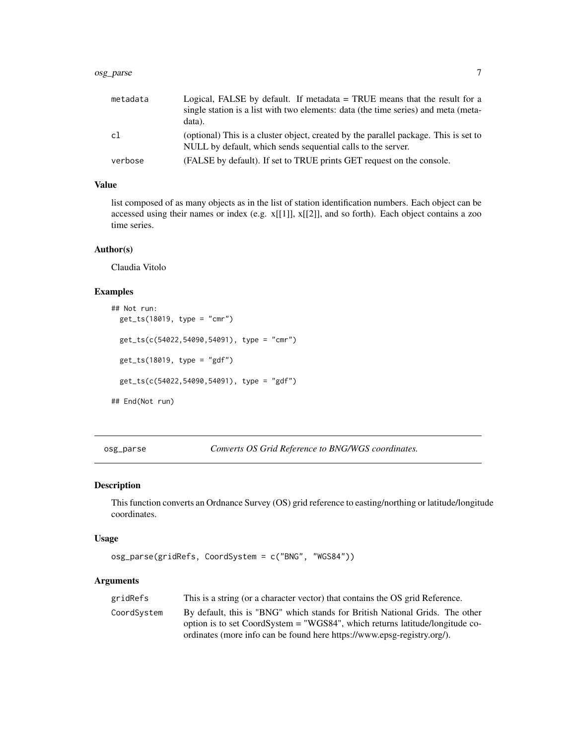#### <span id="page-6-0"></span>osg\_parse 7

| metadata | Logical, FALSE by default. If metadata $=$ TRUE means that the result for a<br>single station is a list with two elements: data (the time series) and meta (meta-<br>data). |
|----------|-----------------------------------------------------------------------------------------------------------------------------------------------------------------------------|
| cl       | (optional) This is a cluster object, created by the parallel package. This is set to<br>NULL by default, which sends sequential calls to the server.                        |
| verbose  | (FALSE by default). If set to TRUE prints GET request on the console.                                                                                                       |

#### Value

list composed of as many objects as in the list of station identification numbers. Each object can be accessed using their names or index (e.g.  $x[[1]]$ ,  $x[[2]]$ , and so forth). Each object contains a zoo time series.

#### Author(s)

Claudia Vitolo

#### Examples

```
## Not run:
 get_ts(18019, type = "cmr")
 get_ts(c(54022,54090,54091), type = "cmr")
 get_ts(18019, type = "gdf")
 get_ts(c(54022,54090,54091), type = "gdf")
## End(Not run)
```
osg\_parse *Converts OS Grid Reference to BNG/WGS coordinates.*

#### Description

This function converts an Ordnance Survey (OS) grid reference to easting/northing or latitude/longitude coordinates.

#### Usage

```
osg_parse(gridRefs, CoordSystem = c("BNG", "WGS84"))
```
#### Arguments

| gridRefs    | This is a string (or a character vector) that contains the OS grid Reference. |
|-------------|-------------------------------------------------------------------------------|
| CoordSystem | By default, this is "BNG" which stands for British National Grids. The other  |
|             | option is to set CoordSystem = "WGS84", which returns latitude/longitude co-  |
|             | ordinates (more info can be found here https://www.epsg-registry.org/).       |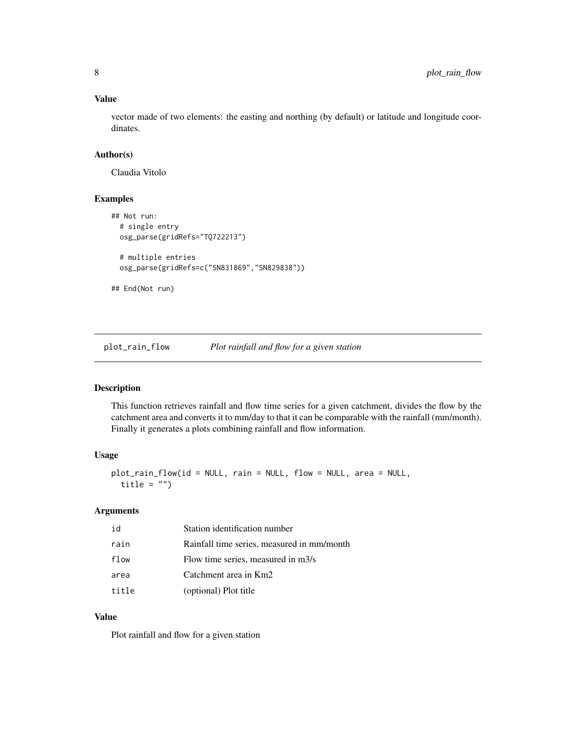#### Value

vector made of two elements: the easting and northing (by default) or latitude and longitude coordinates.

#### Author(s)

Claudia Vitolo

#### Examples

```
## Not run:
 # single entry
 osg_parse(gridRefs="TQ722213")
 # multiple entries
 osg_parse(gridRefs=c("SN831869","SN829838"))
```
## End(Not run)

plot\_rain\_flow *Plot rainfall and flow for a given station*

#### Description

This function retrieves rainfall and flow time series for a given catchment, divides the flow by the catchment area and converts it to mm/day to that it can be comparable with the rainfall (mm/month). Finally it generates a plots combining rainfall and flow information.

#### Usage

```
plot_rain_flow(id = NULL, rain = NULL, flow = NULL, area = NULL,
  title = ")
```
#### Arguments

| id    | Station identification number              |
|-------|--------------------------------------------|
| rain  | Rainfall time series, measured in mm/month |
| flow  | Flow time series, measured in m3/s         |
| area  | Catchment area in Km2                      |
| title | (optional) Plot title                      |

#### Value

Plot rainfall and flow for a given station

<span id="page-7-0"></span>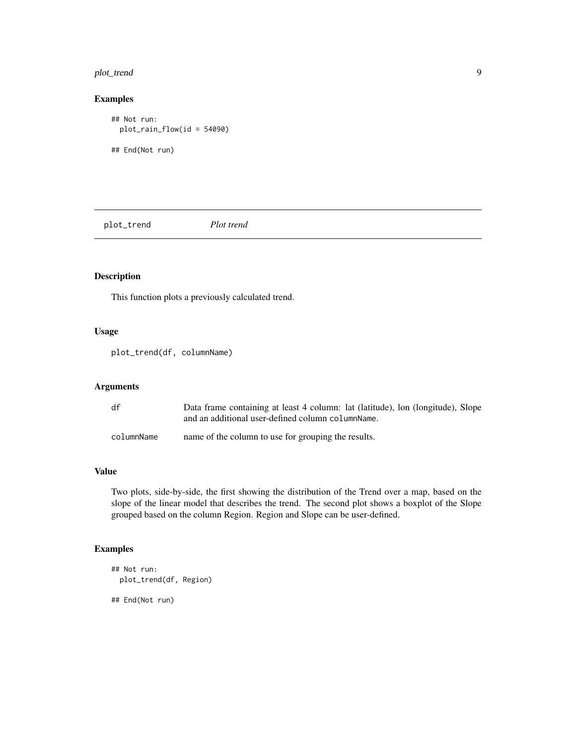#### <span id="page-8-0"></span>plot\_trend 9

#### Examples

```
## Not run:
  plot_rain_flow(id = 54090)
## End(Not run)
```
plot\_trend *Plot trend*

#### Description

This function plots a previously calculated trend.

#### Usage

plot\_trend(df, columnName)

#### Arguments

| df         | Data frame containing at least 4 column: lat (latitude), lon (longitude), Slope<br>and an additional user-defined column column Name. |
|------------|---------------------------------------------------------------------------------------------------------------------------------------|
| columnName | name of the column to use for grouping the results.                                                                                   |

#### Value

Two plots, side-by-side, the first showing the distribution of the Trend over a map, based on the slope of the linear model that describes the trend. The second plot shows a boxplot of the Slope grouped based on the column Region. Region and Slope can be user-defined.

#### Examples

```
## Not run:
 plot_trend(df, Region)
```
## End(Not run)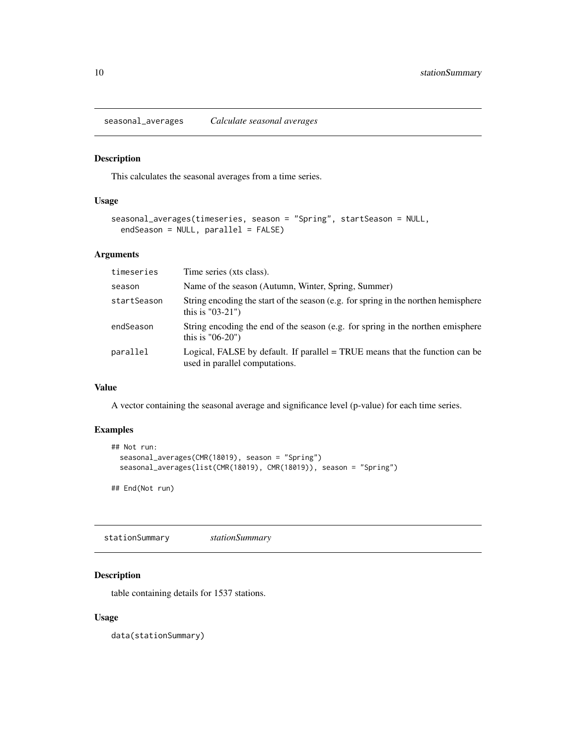<span id="page-9-0"></span>seasonal\_averages *Calculate seasonal averages*

#### Description

This calculates the seasonal averages from a time series.

#### Usage

```
seasonal_averages(timeseries, season = "Spring", startSeason = NULL,
 endSeason = NULL, parallel = FALSE)
```
#### Arguments

| timeseries  | Time series (xts class).                                                                                         |
|-------------|------------------------------------------------------------------------------------------------------------------|
| season      | Name of the season (Autumn, Winter, Spring, Summer)                                                              |
| startSeason | String encoding the start of the season (e.g. for spring in the northen hemisphere<br>this is $"03-21"$ )        |
| endSeason   | String encoding the end of the season (e.g. for spring in the northen emisphere<br>this is $"06-20"$             |
| parallel    | Logical, FALSE by default. If parallel $=$ TRUE means that the function can be<br>used in parallel computations. |

#### Value

A vector containing the seasonal average and significance level (p-value) for each time series.

#### Examples

```
## Not run:
  seasonal_averages(CMR(18019), season = "Spring")
  seasonal_averages(list(CMR(18019), CMR(18019)), season = "Spring")
```
## End(Not run)

stationSummary *stationSummary*

#### Description

table containing details for 1537 stations.

#### Usage

data(stationSummary)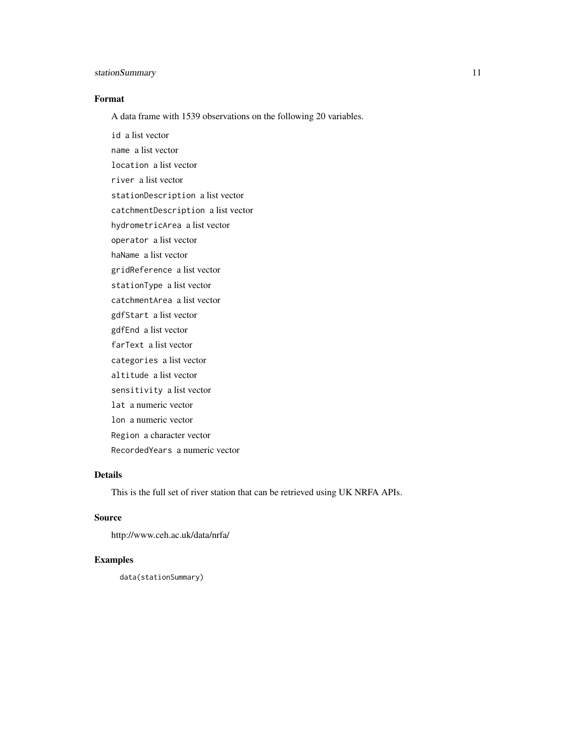#### stationSummary 11

#### Format

A data frame with 1539 observations on the following 20 variables.

id a list vector name a list vector location a list vector river a list vector stationDescription a list vector catchmentDescription a list vector hydrometricArea a list vector operator a list vector haName a list vector gridReference a list vector stationType a list vector catchmentArea a list vector gdfStart a list vector gdfEnd a list vector farText a list vector categories a list vector altitude a list vector sensitivity a list vector lat a numeric vector lon a numeric vector Region a character vector RecordedYears a numeric vector

#### Details

This is the full set of river station that can be retrieved using UK NRFA APIs.

#### Source

http://www.ceh.ac.uk/data/nrfa/

#### Examples

data(stationSummary)